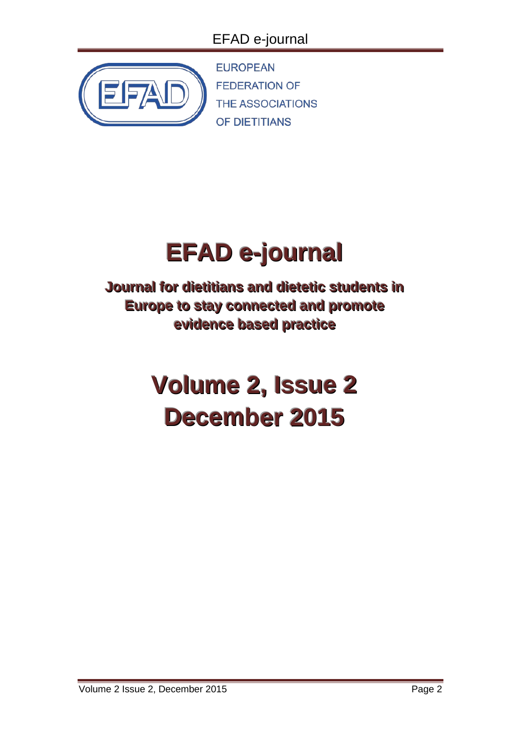# EFAD e-journal



**EUROPEAN FEDERATION OF THE ASSOCIATIONS** OF DIETITIANS

# **EFAD e-journal**

**Journal for dietitians and dietetic students in Europe to stay connected and promote evidence based practice** 

# **Volume 2, Issue 2 December 2015**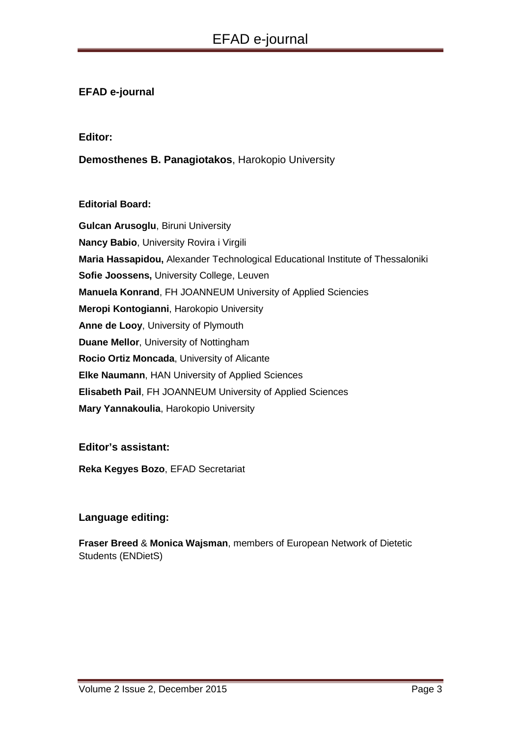# **EFAD e-journal**

#### **Editor:**

# **Demosthenes B. Panagiotakos**, Harokopio University

#### **Editorial Board:**

**Gulcan Arusoglu**, Biruni University **Nancy Babio**, University Rovira i Virgili **Maria Hassapidou,** Alexander Technological Educational Institute of Thessaloniki **Sofie Joossens,** University College, Leuven **Manuela Konrand**, FH JOANNEUM University of Applied Sciencies **Meropi Kontogianni**, Harokopio University **Anne de Looy**, University of Plymouth **Duane Mellor**, University of Nottingham **Rocio Ortiz Moncada**, University of Alicante **Elke Naumann**, HAN University of Applied Sciences **Elisabeth Pail**, FH JOANNEUM University of Applied Sciences **Mary Yannakoulia**, Harokopio University

#### **Editor's assistant:**

**Reka Kegyes Bozo**, EFAD Secretariat

# **Language editing:**

**Fraser Breed** & **Monica Wajsman**, members of European Network of Dietetic Students (ENDietS)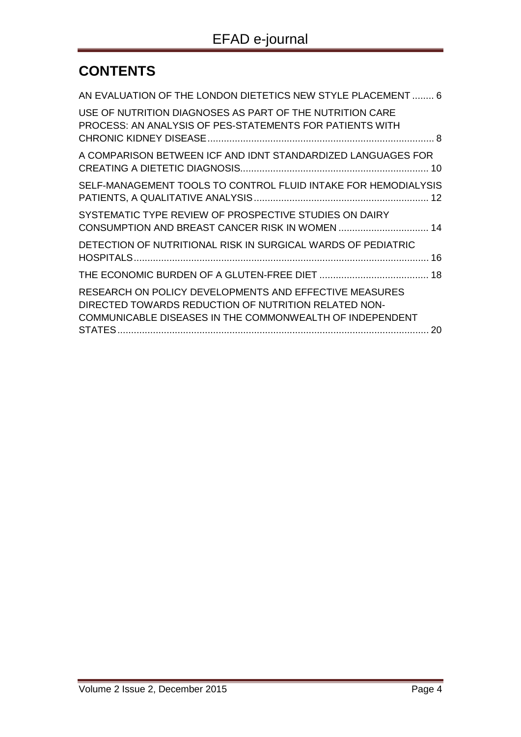# **CONTENTS**

| AN EVALUATION OF THE LONDON DIETETICS NEW STYLE PLACEMENT  6                                                                                                               |    |
|----------------------------------------------------------------------------------------------------------------------------------------------------------------------------|----|
| USE OF NUTRITION DIAGNOSES AS PART OF THE NUTRITION CARE<br>PROCESS: AN ANALYSIS OF PES-STATEMENTS FOR PATIENTS WITH                                                       |    |
| A COMPARISON BETWEEN ICF AND IDNT STANDARDIZED LANGUAGES FOR                                                                                                               |    |
| SELF-MANAGEMENT TOOLS TO CONTROL FLUID INTAKE FOR HEMODIALYSIS                                                                                                             |    |
| SYSTEMATIC TYPE REVIEW OF PROSPECTIVE STUDIES ON DAIRY                                                                                                                     |    |
| DETECTION OF NUTRITIONAL RISK IN SURGICAL WARDS OF PEDIATRIC                                                                                                               |    |
|                                                                                                                                                                            |    |
| RESEARCH ON POLICY DEVELOPMENTS AND EFFECTIVE MEASURES<br>DIRECTED TOWARDS REDUCTION OF NUTRITION RELATED NON-<br>COMMUNICABLE DISEASES IN THE COMMONWEALTH OF INDEPENDENT | 20 |
|                                                                                                                                                                            |    |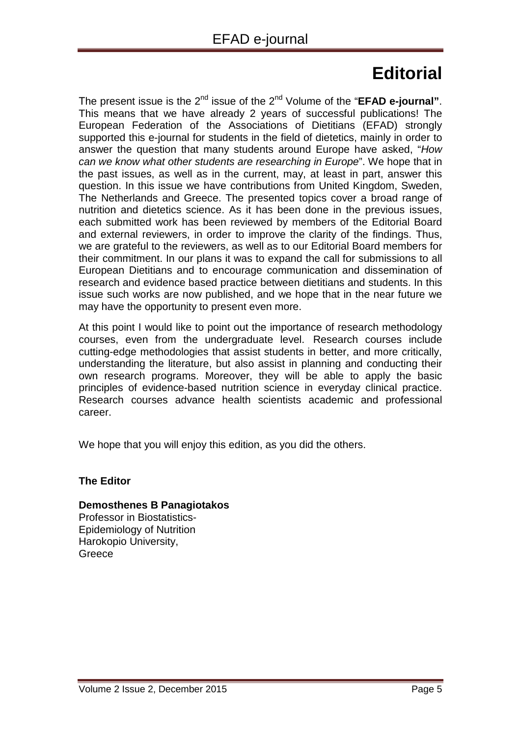# **Editorial**

The present issue is the 2<sup>nd</sup> issue of the 2<sup>nd</sup> Volume of the "**EFAD e-journal**". This means that we have already 2 years of successful publications! The European Federation of the Associations of Dietitians (EFAD) strongly supported this e-journal for students in the field of dietetics, mainly in order to answer the question that many students around Europe have asked, "*How can we know what other students are researching in Europe*". We hope that in the past issues, as well as in the current, may, at least in part, answer this question. In this issue we have contributions from United Kingdom, Sweden, The Netherlands and Greece. The presented topics cover a broad range of nutrition and dietetics science. As it has been done in the previous issues, each submitted work has been reviewed by members of the Editorial Board and external reviewers, in order to improve the clarity of the findings. Thus, we are grateful to the reviewers, as well as to our Editorial Board members for their commitment. In our plans it was to expand the call for submissions to all European Dietitians and to encourage communication and dissemination of research and evidence based practice between dietitians and students. In this issue such works are now published, and we hope that in the near future we may have the opportunity to present even more.

At this point I would like to point out the importance of research methodology courses, even from the undergraduate level. Research courses include cutting-edge methodologies that assist students in better, and more critically, understanding the literature, but also assist in planning and conducting their own research programs. Moreover, they will be able to apply the basic principles of evidence-based nutrition science in everyday clinical practice. Research courses advance health scientists academic and professional career.

We hope that you will enjoy this edition, as you did the others.

# **The Editor**

# **Demosthenes B Panagiotakos**

Professor in Biostatistics-Epidemiology of Nutrition Harokopio University, **Greece**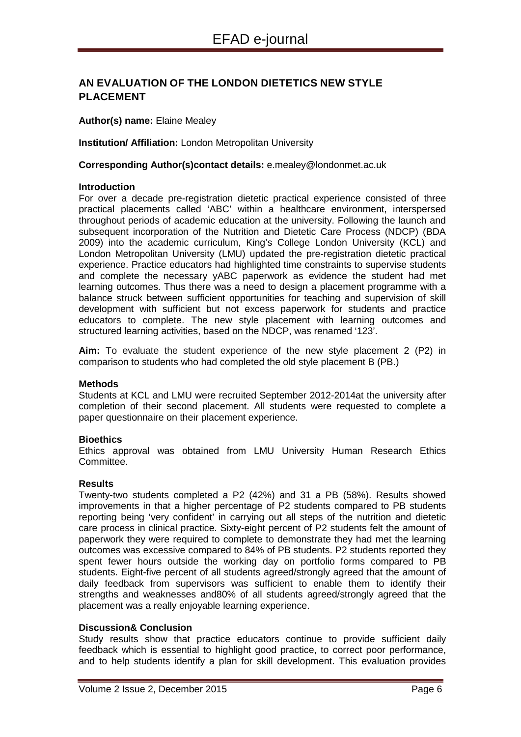# <span id="page-4-0"></span>**AN EVALUATION OF THE LONDON DIETETICS NEW STYLE PLACEMENT**

**Author(s) name:** Elaine Mealey

**Institution/ Affiliation:** London Metropolitan University

**Corresponding Author(s)contact details:** e.mealey@londonmet.ac.uk

#### **Introduction**

For over a decade pre-registration dietetic practical experience consisted of three practical placements called 'ABC' within a healthcare environment, interspersed throughout periods of academic education at the university. Following the launch and subsequent incorporation of the Nutrition and Dietetic Care Process (NDCP) (BDA 2009) into the academic curriculum, King's College London University (KCL) and London Metropolitan University (LMU) updated the pre-registration dietetic practical experience. Practice educators had highlighted time constraints to supervise students and complete the necessary yABC paperwork as evidence the student had met learning outcomes. Thus there was a need to design a placement programme with a balance struck between sufficient opportunities for teaching and supervision of skill development with sufficient but not excess paperwork for students and practice educators to complete. The new style placement with learning outcomes and structured learning activities, based on the NDCP, was renamed '123'.

**Aim:** To evaluate the student experience of the new style placement 2 (P2) in comparison to students who had completed the old style placement B (PB.)

#### **Methods**

Students at KCL and LMU were recruited September 2012-2014at the university after completion of their second placement. All students were requested to complete a paper questionnaire on their placement experience.

#### **Bioethics**

Ethics approval was obtained from LMU University Human Research Ethics Committee.

#### **Results**

Twenty-two students completed a P2 (42%) and 31 a PB (58%). Results showed improvements in that a higher percentage of P2 students compared to PB students reporting being 'very confident' in carrying out all steps of the nutrition and dietetic care process in clinical practice. Sixty-eight percent of P2 students felt the amount of paperwork they were required to complete to demonstrate they had met the learning outcomes was excessive compared to 84% of PB students. P2 students reported they spent fewer hours outside the working day on portfolio forms compared to PB students. Eight-five percent of all students agreed/strongly agreed that the amount of daily feedback from supervisors was sufficient to enable them to identify their strengths and weaknesses and80% of all students agreed/strongly agreed that the placement was a really enjoyable learning experience.

#### **Discussion& Conclusion**

Study results show that practice educators continue to provide sufficient daily feedback which is essential to highlight good practice, to correct poor performance, and to help students identify a plan for skill development. This evaluation provides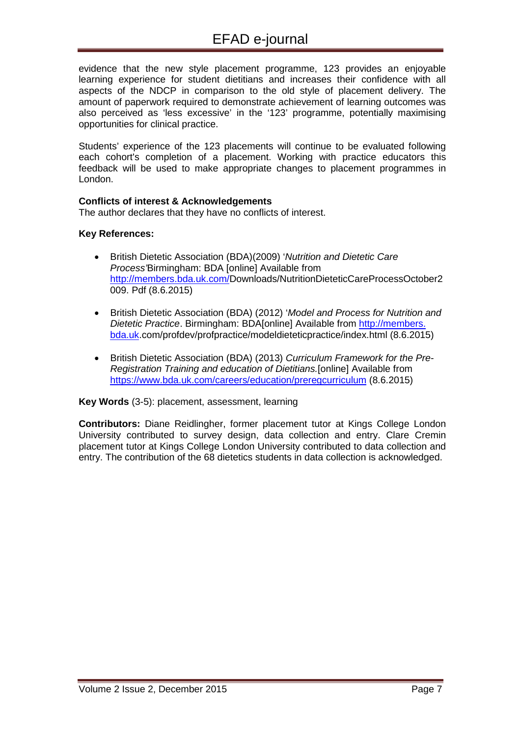evidence that the new style placement programme, 123 provides an enjoyable learning experience for student dietitians and increases their confidence with all aspects of the NDCP in comparison to the old style of placement delivery. The amount of paperwork required to demonstrate achievement of learning outcomes was also perceived as 'less excessive' in the '123' programme, potentially maximising opportunities for clinical practice.

Students' experience of the 123 placements will continue to be evaluated following each cohort's completion of a placement. Working with practice educators this feedback will be used to make appropriate changes to placement programmes in London.

#### **Conflicts of interest & Acknowledgements**

The author declares that they have no conflicts of interest.

#### **Key References:**

- British Dietetic Association (BDA)(2009) '*Nutrition and Dietetic Care Process'*Birmingham: BDA [online] Available from [http://members.bda.uk.com/D](http://members.bda.uk.com/)ownloads/NutritionDieteticCareProcessOctober2 009. Pdf (8.6.2015)
- British Dietetic Association (BDA) (2012) '*Model and Process for Nutrition and Dietetic Practice*. Birmingham: BDA[online] Available from http://members. bda.uk.com/profdev/profpractice/modeldieteticpractice/index.html (8.6.2015)
- British Dietetic Association (BDA) (2013) *Curriculum Framework for the Pre-Registration Training and education of Dietitians.*[online] Available from <https://www.bda.uk.com/careers/education/preregcurriculum> (8.6.2015)

#### **Key Words** (3-5): placement, assessment, learning

**Contributors:** Diane Reidlingher, former placement tutor at Kings College London University contributed to survey design, data collection and entry. Clare Cremin placement tutor at Kings College London University contributed to data collection and entry. The contribution of the 68 dietetics students in data collection is acknowledged.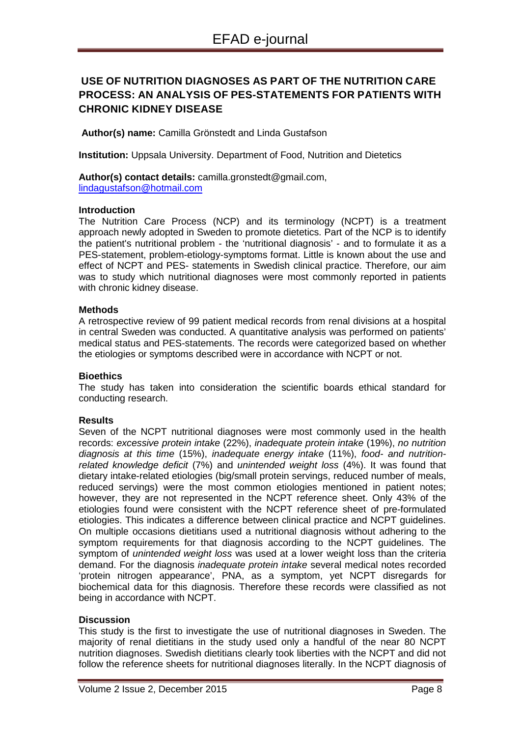# <span id="page-6-0"></span>**USE OF NUTRITION DIAGNOSES AS PART OF THE NUTRITION CARE PROCESS: AN ANALYSIS OF PES-STATEMENTS FOR PATIENTS WITH CHRONIC KIDNEY DISEASE**

**Author(s) name:** Camilla Grönstedt and Linda Gustafson

**Institution:** Uppsala University. Department of Food, Nutrition and Dietetics

**Author(s) contact details:** camilla.gronstedt@gmail.com, [lindagustafson@hotmail.com](mailto:lindagustafson@hotmail.com)

#### **Introduction**

The Nutrition Care Process (NCP) and its terminology (NCPT) is a treatment approach newly adopted in Sweden to promote dietetics. Part of the NCP is to identify the patient's nutritional problem - the 'nutritional diagnosis' - and to formulate it as a PES-statement, problem-etiology-symptoms format. Little is known about the use and effect of NCPT and PES- statements in Swedish clinical practice. Therefore, our aim was to study which nutritional diagnoses were most commonly reported in patients with chronic kidney disease.

#### **Methods**

A retrospective review of 99 patient medical records from renal divisions at a hospital in central Sweden was conducted. A quantitative analysis was performed on patients' medical status and PES-statements. The records were categorized based on whether the etiologies or symptoms described were in accordance with NCPT or not.

#### **Bioethics**

The study has taken into consideration the scientific boards ethical standard for conducting research.

#### **Results**

Seven of the NCPT nutritional diagnoses were most commonly used in the health records: *excessive protein intake* (22%), *inadequate protein intake* (19%), *no nutrition diagnosis at this time* (15%), *inadequate energy intake* (11%), *food- and nutritionrelated knowledge deficit* (7%) and *unintended weight loss* (4%). It was found that dietary intake-related etiologies (big/small protein servings, reduced number of meals, reduced servings) were the most common etiologies mentioned in patient notes; however, they are not represented in the NCPT reference sheet. Only 43% of the etiologies found were consistent with the NCPT reference sheet of pre-formulated etiologies. This indicates a difference between clinical practice and NCPT guidelines. On multiple occasions dietitians used a nutritional diagnosis without adhering to the symptom requirements for that diagnosis according to the NCPT guidelines. The symptom of *unintended weight loss* was used at a lower weight loss than the criteria demand. For the diagnosis *inadequate protein intake* several medical notes recorded 'protein nitrogen appearance', PNA, as a symptom, yet NCPT disregards for biochemical data for this diagnosis. Therefore these records were classified as not being in accordance with NCPT.

#### **Discussion**

This study is the first to investigate the use of nutritional diagnoses in Sweden. The majority of renal dietitians in the study used only a handful of the near 80 NCPT nutrition diagnoses. Swedish dietitians clearly took liberties with the NCPT and did not follow the reference sheets for nutritional diagnoses literally. In the NCPT diagnosis of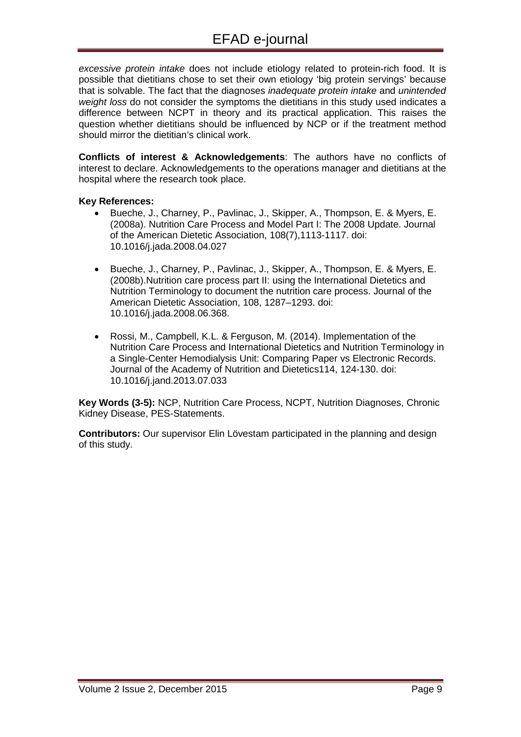*excessive protein intake* does not include etiology related to protein-rich food. It is possible that dietitians chose to set their own etiology 'big protein servings' because that is solvable. The fact that the diagnoses *inadequate protein intake* and *unintended weight loss* do not consider the symptoms the dietitians in this study used indicates a difference between NCPT in theory and its practical application. This raises the question whether dietitians should be influenced by NCP or if the treatment method should mirror the dietitian's clinical work.

**Conflicts of interest & Acknowledgements**: The authors have no conflicts of interest to declare. Acknowledgements to the operations manager and dietitians at the hospital where the research took place.

#### **Key References:**

- Bueche, J., Charney, P., Pavlinac, J., Skipper, A., Thompson, E. & Myers, E. (2008a). Nutrition Care Process and Model Part I: The 2008 Update. Journal of the American Dietetic Association, 108(7),1113-1117. doi: 10.1016/j.jada.2008.04.027
- Bueche, J., Charney, P., Pavlinac, J., Skipper, A., Thompson, E. & Myers, E. (2008b).Nutrition care process part II: using the International Dietetics and Nutrition Terminology to document the nutrition care process. Journal of the American Dietetic Association, 108, 1287–1293. doi: 10.1016/j.jada.2008.06.368.
- Rossi, M., Campbell, K.L. & Ferguson, M. (2014). Implementation of the Nutrition Care Process and International Dietetics and Nutrition Terminology in a Single-Center Hemodialysis Unit: Comparing Paper vs Electronic Records. Journal of the Academy of Nutrition and Dietetics114, 124-130. doi: 10.1016/j.jand.2013.07.033

**Key Words (3-5):** NCP, Nutrition Care Process, NCPT, Nutrition Diagnoses, Chronic Kidney Disease, PES-Statements.

**Contributors:** Our supervisor Elin Lövestam participated in the planning and design of this study.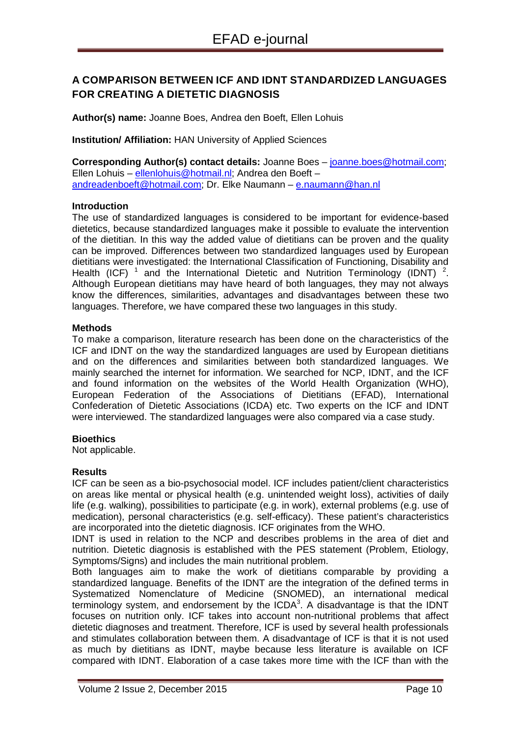# <span id="page-8-0"></span>**A COMPARISON BETWEEN ICF AND IDNT STANDARDIZED LANGUAGES FOR CREATING A DIETETIC DIAGNOSIS**

**Author(s) name:** Joanne Boes, Andrea den Boeft, Ellen Lohuis

**Institution/ Affiliation:** HAN University of Applied Sciences

**Corresponding Author(s) contact details:** Joanne Boes – [joanne.boes@hotmail.com;](mailto:joanne.boes@hotmail.com) Ellen Lohuis – [ellenlohuis@hotmail.nl;](mailto:ellenlohuis@hotmail.nl) Andrea den Boeft – [andreadenboeft@hotmail.com;](mailto:andreadenboeft@hotmail.com) Dr. Elke Naumann – [e.naumann@han.nl](mailto:e.naumann@han.nl)

#### **Introduction**

The use of standardized languages is considered to be important for evidence-based dietetics, because standardized languages make it possible to evaluate the intervention of the dietitian. In this way the added value of dietitians can be proven and the quality can be improved. Differences between two standardized languages used by European dietitians were investigated: the International Classification of Functioning, Disability and Health (ICF)  $^1$  and the International Dietetic and Nutrition Terminology (IDNT)  $^2$ . Although European dietitians may have heard of both languages, they may not always know the differences, similarities, advantages and disadvantages between these two languages. Therefore, we have compared these two languages in this study.

#### **Methods**

To make a comparison, literature research has been done on the characteristics of the ICF and IDNT on the way the standardized languages are used by European dietitians and on the differences and similarities between both standardized languages. We mainly searched the internet for information. We searched for NCP, IDNT, and the ICF and found information on the websites of the World Health Organization (WHO), European Federation of the Associations of Dietitians (EFAD), International Confederation of Dietetic Associations (ICDA) etc. Two experts on the ICF and IDNT were interviewed. The standardized languages were also compared via a case study.

#### **Bioethics**

Not applicable.

#### **Results**

ICF can be seen as a bio-psychosocial model. ICF includes patient/client characteristics on areas like mental or physical health (e.g. unintended weight loss), activities of daily life (e.g. walking), possibilities to participate (e.g. in work), external problems (e.g. use of medication), personal characteristics (e.g. self-efficacy). These patient's characteristics are incorporated into the dietetic diagnosis. ICF originates from the WHO.

IDNT is used in relation to the NCP and describes problems in the area of diet and nutrition. Dietetic diagnosis is established with the PES statement (Problem, Etiology, Symptoms/Signs) and includes the main nutritional problem.

Both languages aim to make the work of dietitians comparable by providing a standardized language. Benefits of the IDNT are the integration of the defined terms in Systematized Nomenclature of Medicine (SNOMED), an international medical terminology system, and endorsement by the ICDA<sup>3</sup>. A disadvantage is that the IDNT focuses on nutrition only. ICF takes into account non-nutritional problems that affect dietetic diagnoses and treatment. Therefore, ICF is used by several health professionals and stimulates collaboration between them. A disadvantage of ICF is that it is not used as much by dietitians as IDNT, maybe because less literature is available on ICF compared with IDNT. Elaboration of a case takes more time with the ICF than with the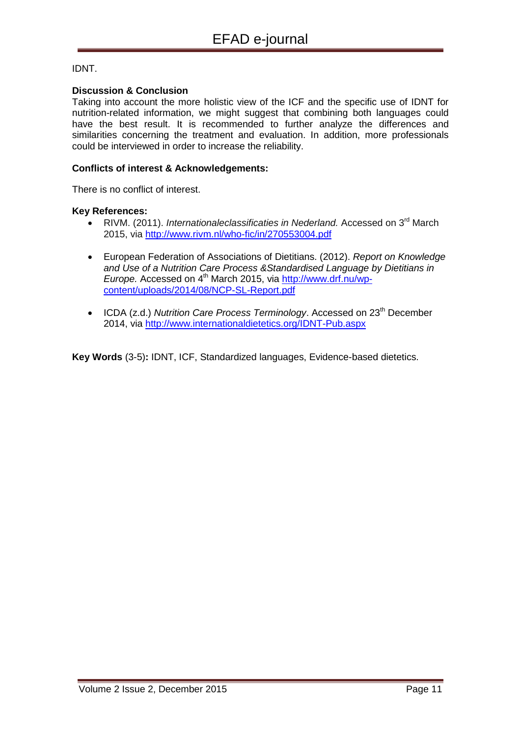#### IDNT.

#### **Discussion & Conclusion**

Taking into account the more holistic view of the ICF and the specific use of IDNT for nutrition-related information, we might suggest that combining both languages could have the best result. It is recommended to further analyze the differences and similarities concerning the treatment and evaluation. In addition, more professionals could be interviewed in order to increase the reliability.

#### **Conflicts of interest & Acknowledgements:**

There is no conflict of interest.

#### **Key References:**

- RIVM. (2011). *Internationaleclassificaties in Nederland.* Accessed on 3<sup>rd</sup> March 2015, via<http://www.rivm.nl/who-fic/in/270553004.pdf>
- European Federation of Associations of Dietitians. (2012). *Report on Knowledge and Use of a Nutrition Care Process &Standardised Language by Dietitians in Europe.* Accessed on 4<sup>th</sup> March 2015, via [http://www.drf.nu/wp](http://www.drf.nu/wp-content/uploads/2014/08/NCP-SL-Report.pdf)[content/uploads/2014/08/NCP-SL-Report.pdf](http://www.drf.nu/wp-content/uploads/2014/08/NCP-SL-Report.pdf)
- ICDA (z.d.) *Nutrition Care Process Terminology*. Accessed on 23<sup>th</sup> December 2014, via<http://www.internationaldietetics.org/IDNT-Pub.aspx>

**Key Words** (3-5)**:** IDNT, ICF, Standardized languages, Evidence-based dietetics.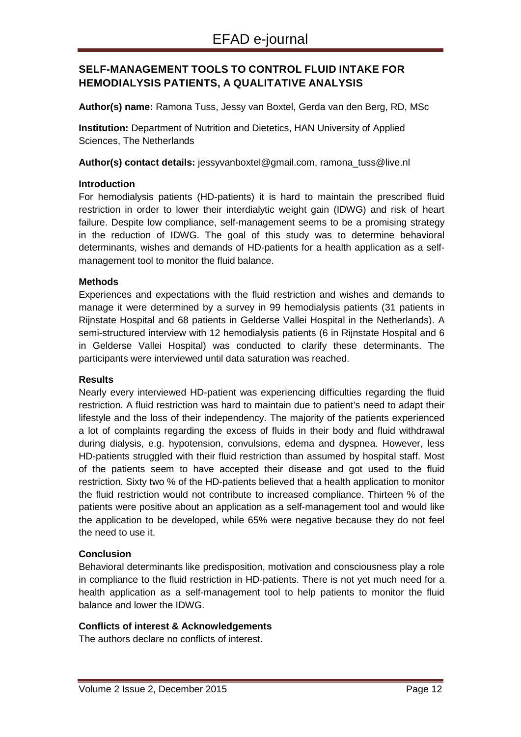# <span id="page-10-0"></span>**SELF-MANAGEMENT TOOLS TO CONTROL FLUID INTAKE FOR HEMODIALYSIS PATIENTS, A QUALITATIVE ANALYSIS**

**Author(s) name:** Ramona Tuss, Jessy van Boxtel, Gerda van den Berg, RD, MSc

**Institution:** Department of Nutrition and Dietetics, HAN University of Applied Sciences, The Netherlands

**Author(s) contact details:** [jessyvanboxtel@gmail.com,](mailto:jessyvanboxtel@gmail.com) ramona\_tuss@live.nl

#### **Introduction**

For hemodialysis patients (HD-patients) it is hard to maintain the prescribed fluid restriction in order to lower their interdialytic weight gain (IDWG) and risk of heart failure. Despite low compliance, self-management seems to be a promising strategy in the reduction of IDWG. The goal of this study was to determine behavioral determinants, wishes and demands of HD-patients for a health application as a selfmanagement tool to monitor the fluid balance.

#### **Methods**

Experiences and expectations with the fluid restriction and wishes and demands to manage it were determined by a survey in 99 hemodialysis patients (31 patients in Rijnstate Hospital and 68 patients in Gelderse Vallei Hospital in the Netherlands). A semi-structured interview with 12 hemodialysis patients (6 in Rijnstate Hospital and 6 in Gelderse Vallei Hospital) was conducted to clarify these determinants. The participants were interviewed until data saturation was reached.

#### **Results**

Nearly every interviewed HD-patient was experiencing difficulties regarding the fluid restriction. A fluid restriction was hard to maintain due to patient's need to adapt their lifestyle and the loss of their independency. The majority of the patients experienced a lot of complaints regarding the excess of fluids in their body and fluid withdrawal during dialysis, e.g. hypotension, convulsions, edema and dyspnea. However, less HD-patients struggled with their fluid restriction than assumed by hospital staff. Most of the patients seem to have accepted their disease and got used to the fluid restriction. Sixty two % of the HD-patients believed that a health application to monitor the fluid restriction would not contribute to increased compliance. Thirteen % of the patients were positive about an application as a self-management tool and would like the application to be developed, while 65% were negative because they do not feel the need to use it.

#### **Conclusion**

Behavioral determinants like predisposition, motivation and consciousness play a role in compliance to the fluid restriction in HD-patients. There is not yet much need for a health application as a self-management tool to help patients to monitor the fluid balance and lower the IDWG.

#### **Conflicts of interest & Acknowledgements**

The authors declare no conflicts of interest.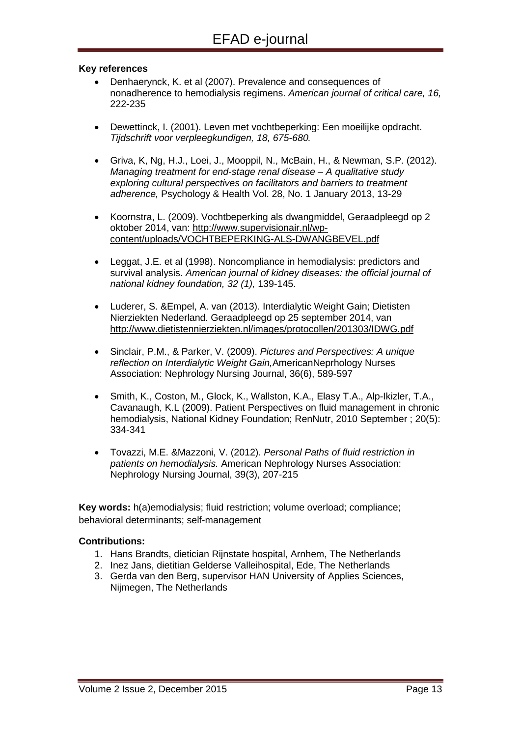#### **Key references**

- Denhaerynck, K. et al (2007). Prevalence and consequences of nonadherence to hemodialysis regimens. *American journal of critical care, 16,* 222-235
- Dewettinck, I. (2001). Leven met vochtbeperking: Een moeilijke opdracht. *Tijdschrift voor verpleegkundigen, 18, 675-680.*
- Griva, K, Ng, H.J., Loei, J., Mooppil, N., McBain, H., & Newman, S.P. (2012). *Managing treatment for end-stage renal disease – A qualitative study exploring cultural perspectives on facilitators and barriers to treatment adherence,* Psychology & Health Vol. 28, No. 1 January 2013, 13-29
- Koornstra, L. (2009). Vochtbeperking als dwangmiddel, Geraadpleegd op 2 oktober 2014, van: [http://www.supervisionair.nl/wp](http://www.supervisionair.nl/wp-content/uploads/VOCHTBEPERKING-ALS-DWANGBEVEL.pdf)[content/uploads/VOCHTBEPERKING-ALS-DWANGBEVEL.pdf](http://www.supervisionair.nl/wp-content/uploads/VOCHTBEPERKING-ALS-DWANGBEVEL.pdf)
- Leggat, J.E. et al (1998). Noncompliance in hemodialysis: predictors and survival analysis. *American journal of kidney diseases: the official journal of national kidney foundation, 32 (1),* 139-145.
- Luderer, S. &Empel, A. van (2013). Interdialytic Weight Gain; Dietisten Nierziekten Nederland. Geraadpleegd op 25 september 2014, van <http://www.dietistennierziekten.nl/images/protocollen/201303/IDWG.pdf>
- Sinclair, P.M., & Parker, V. (2009). *Pictures and Perspectives: A unique reflection on Interdialytic Weight Gain,*AmericanNeprhology Nurses Association: Nephrology Nursing Journal, 36(6), 589-597
- Smith, K., Coston, M., Glock, K., Wallston, K.A., Elasy T.A., Alp-Ikizler, T.A., Cavanaugh, K.L (2009). Patient Perspectives on fluid management in chronic hemodialysis, National Kidney Foundation; RenNutr, 2010 September ; 20(5): 334-341
- Tovazzi, M.E. &Mazzoni, V. (2012). *Personal Paths of fluid restriction in patients on hemodialysis.* American Nephrology Nurses Association: Nephrology Nursing Journal, 39(3), 207-215

**Key words:** h(a)emodialysis; fluid restriction; volume overload; compliance; behavioral determinants; self-management

#### **Contributions:**

- 1. Hans Brandts, dietician Rijnstate hospital, Arnhem, The Netherlands
- 2. Inez Jans, dietitian Gelderse Valleihospital, Ede, The Netherlands
- 3. Gerda van den Berg, supervisor HAN University of Applies Sciences, Nijmegen, The Netherlands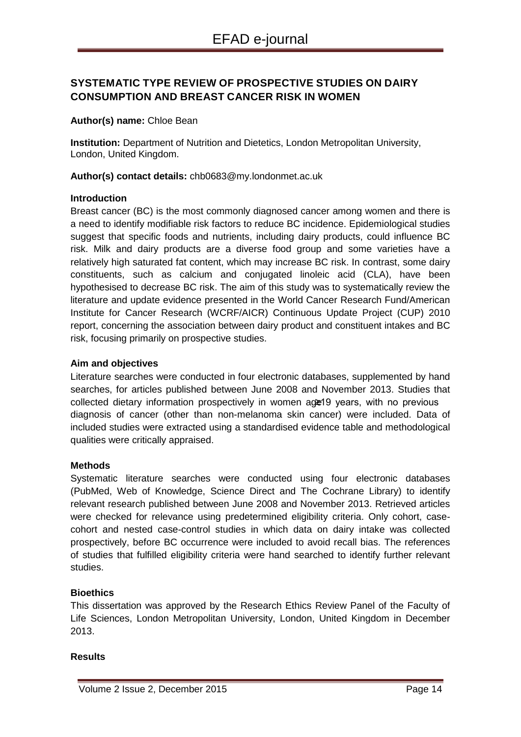# <span id="page-12-0"></span>**SYSTEMATIC TYPE REVIEW OF PROSPECTIVE STUDIES ON DAIRY CONSUMPTION AND BREAST CANCER RISK IN WOMEN**

**Author(s) name:** Chloe Bean

**Institution:** Department of Nutrition and Dietetics, London Metropolitan University, London, United Kingdom.

**Author(s) contact details:** chb0683@my.londonmet.ac.uk

#### **Introduction**

Breast cancer (BC) is the most commonly diagnosed cancer among women and there is a need to identify modifiable risk factors to reduce BC incidence. Epidemiological studies suggest that specific foods and nutrients, including dairy products, could influence BC risk. Milk and dairy products are a diverse food group and some varieties have a relatively high saturated fat content, which may increase BC risk. In contrast, some dairy constituents, such as calcium and conjugated linoleic acid (CLA), have been hypothesised to decrease BC risk. The aim of this study was to systematically review the literature and update evidence presented in the World Cancer Research Fund/American Institute for Cancer Research (WCRF/AICR) Continuous Update Project (CUP) 2010 report, concerning the association between dairy product and constituent intakes and BC risk, focusing primarily on prospective studies.

#### **Aim and objectives**

Literature searches were conducted in four electronic databases, supplemented by hand searches, for articles published between June 2008 and November 2013. Studies that collected dietary information prospectively in women age<sup>19</sup> years, with no previous diagnosis of cancer (other than non-melanoma skin cancer) were included. Data of included studies were extracted using a standardised evidence table and methodological qualities were critically appraised.

#### **Methods**

Systematic literature searches were conducted using four electronic databases (PubMed, Web of Knowledge, Science Direct and The Cochrane Library) to identify relevant research published between June 2008 and November 2013. Retrieved articles were checked for relevance using predetermined eligibility criteria. Only cohort, casecohort and nested case-control studies in which data on dairy intake was collected prospectively, before BC occurrence were included to avoid recall bias. The references of studies that fulfilled eligibility criteria were hand searched to identify further relevant studies.

#### **Bioethics**

This dissertation was approved by the Research Ethics Review Panel of the Faculty of Life Sciences, London Metropolitan University, London, United Kingdom in December 2013.

#### **Results**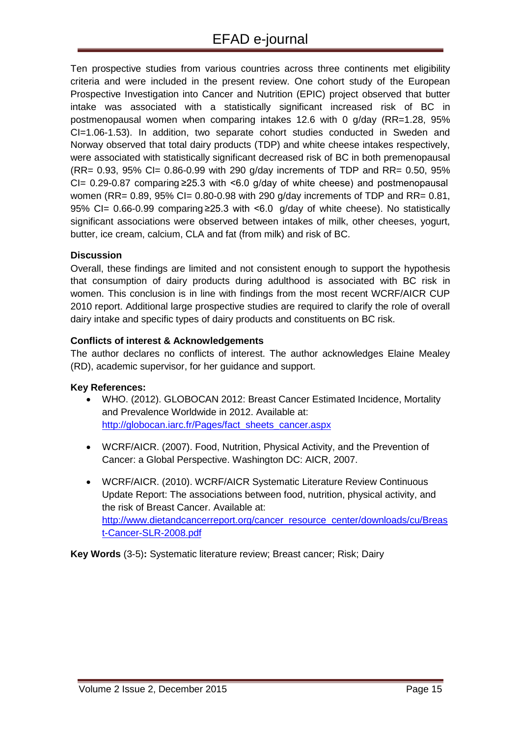Ten prospective studies from various countries across three continents met eligibility criteria and were included in the present review. One cohort study of the European Prospective Investigation into Cancer and Nutrition (EPIC) project observed that butter intake was associated with a statistically significant increased risk of BC in postmenopausal women when comparing intakes 12.6 with 0 g/day (RR=1.28, 95% CI=1.06-1.53). In addition, two separate cohort studies conducted in Sweden and Norway observed that total dairy products (TDP) and white cheese intakes respectively, were associated with statistically significant decreased risk of BC in both premenopausal (RR= 0.93, 95% CI= 0.86-0.99 with 290 g/day increments of TDP and RR= 0.50, 95% CI=  $0.29-0.87$  comparing  $\geq 25.3$  with <6.0 g/day of white cheese) and postmenopausal women (RR= 0.89, 95% CI= 0.80-0.98 with 290 g/day increments of TDP and RR= 0.81, 95% CI= 0.66-0.99 comparing ≥25.3 with <6.0 g/day of white cheese). No statistically significant associations were observed between intakes of milk, other cheeses, yogurt, butter, ice cream, calcium, CLA and fat (from milk) and risk of BC.

#### **Discussion**

Overall, these findings are limited and not consistent enough to support the hypothesis that consumption of dairy products during adulthood is associated with BC risk in women. This conclusion is in line with findings from the most recent WCRF/AICR CUP 2010 report. Additional large prospective studies are required to clarify the role of overall dairy intake and specific types of dairy products and constituents on BC risk.

#### **Conflicts of interest & Acknowledgements**

The author declares no conflicts of interest. The author acknowledges Elaine Mealey (RD), academic supervisor, for her guidance and support.

#### **Key References:**

- WHO. (2012). GLOBOCAN 2012: Breast Cancer Estimated Incidence, Mortality and Prevalence Worldwide in 2012. Available at: [http://globocan.iarc.fr/Pages/fact\\_sheets\\_cancer.aspx](http://globocan.iarc.fr/Pages/fact_sheets_cancer.aspx)
- WCRF/AICR. (2007). Food, Nutrition, Physical Activity, and the Prevention of Cancer: a Global Perspective. Washington DC: AICR, 2007.
- WCRF/AICR. (2010). WCRF/AICR Systematic Literature Review Continuous Update Report: The associations between food, nutrition, physical activity, and the risk of Breast Cancer. Available at: [http://www.dietandcancerreport.org/cancer\\_resource\\_center/downloads/cu/Breas](http://www.dietandcancerreport.org/cancer_resource_center/downloads/cu/Breast-Cancer-SLR-2008.pdf) [t-Cancer-SLR-2008.pdf](http://www.dietandcancerreport.org/cancer_resource_center/downloads/cu/Breast-Cancer-SLR-2008.pdf)

**Key Words** (3-5)**:** Systematic literature review; Breast cancer; Risk; Dairy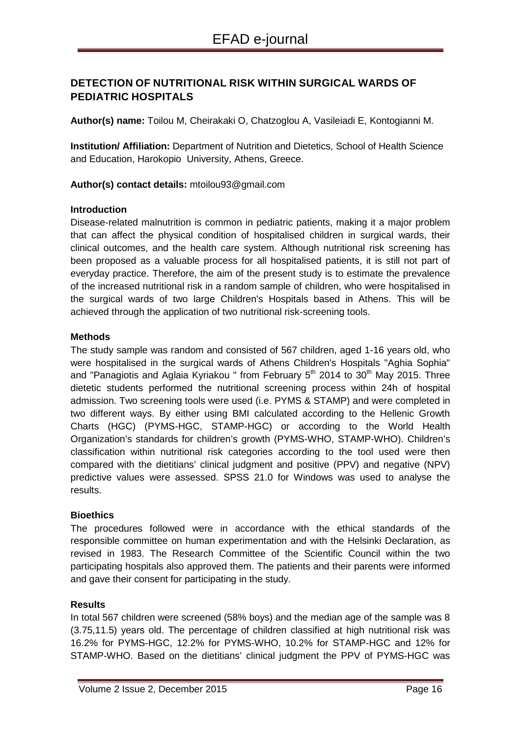# <span id="page-14-0"></span>**DETECTION OF NUTRITIONAL RISK WITHIN SURGICAL WARDS OF PEDIATRIC HOSPITALS**

**Author(s) name:** Toilou M, Cheirakaki O, Chatzoglou A, Vasileiadi E, Kontogianni M.

**Institution/ Affiliation:** Department of Nutrition and Dietetics, School of Health Science and Education, Harokopio University, Athens, Greece.

**Author(s) contact details:** mtoilou93@gmail.com

#### **Introduction**

Disease-related malnutrition is common in pediatric patients, making it a major problem that can affect the physical condition of hospitalised children in surgical wards, their clinical outcomes, and the health care system. Although nutritional risk screening has been proposed as a valuable process for all hospitalised patients, it is still not part of everyday practice. Therefore, the aim of the present study is to estimate the prevalence of the increased nutritional risk in a random sample of children, who were hospitalised in the surgical wards of two large Children's Hospitals based in Athens. This will be achieved through the application of two nutritional risk-screening tools.

#### **Methods**

The study sample was random and consisted of 567 children, aged 1-16 years old, who were hospitalised in the surgical wards of Athens Children's Hospitals "Aghia Sophia" and "Panagiotis and Aglaia Kyriakou " from February  $5<sup>th</sup>$  2014 to 30<sup>th</sup> May 2015. Three dietetic students performed the nutritional screening process within 24h of hospital admission. Two screening tools were used (i.e. PYMS & STAMP) and were completed in two different ways. By either using BMI calculated according to the Hellenic Growth Charts (HGC) (PYMS-HGC, STAMP-HGC) or according to the World Health Organization's standards for children's growth (PYMS-WHO, STAMP-WHO). Children's classification within nutritional risk categories according to the tool used were then compared with the dietitians' clinical judgment and positive (PPV) and negative (NPV) predictive values were assessed. SPSS 21.0 for Windows was used to analyse the results.

#### **Bioethics**

The procedures followed were in accordance with the ethical standards of the responsible committee on human experimentation and with the Helsinki Declaration, as revised in 1983. The Research Committee of the Scientific Council within the two participating hospitals also approved them. The patients and their parents were informed and gave their consent for participating in the study.

#### **Results**

In total 567 children were screened (58% boys) and the median age of the sample was 8 (3.75,11.5) years old. The percentage of children classified at high nutritional risk was 16.2% for PYMS-HGC, 12.2% for PYMS-WHO, 10.2% for STAMP-HGC and 12% for STAMP-WHO. Based on the dietitians' clinical judgment the PPV of PYMS-HGC was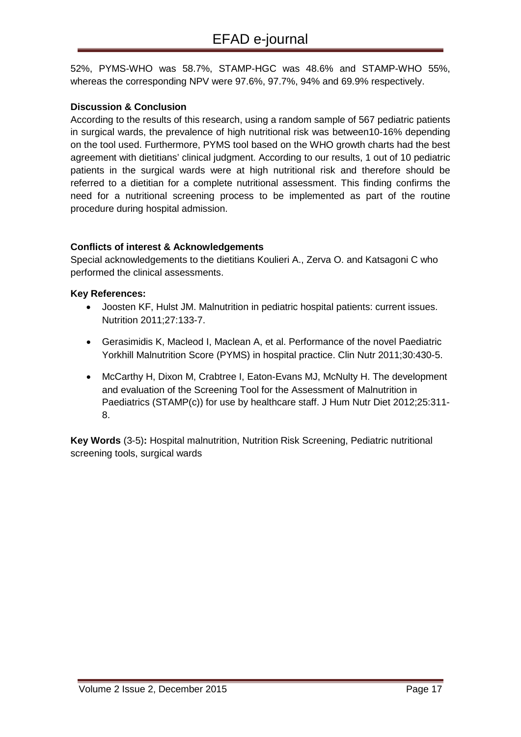52%, PYMS-WHO was 58.7%, STAMP-HGC was 48.6% and STAMP-WHO 55%, whereas the corresponding NPV were 97.6%, 97.7%, 94% and 69.9% respectively.

## **Discussion & Conclusion**

According to the results of this research, using a random sample of 567 pediatric patients in surgical wards, the prevalence of high nutritional risk was between10-16% depending on the tool used. Furthermore, PYMS tool based on the WHO growth charts had the best agreement with dietitians' clinical judgment. According to our results, 1 out of 10 pediatric patients in the surgical wards were at high nutritional risk and therefore should be referred to a dietitian for a complete nutritional assessment. This finding confirms the need for a nutritional screening process to be implemented as part of the routine procedure during hospital admission.

### **Conflicts of interest & Acknowledgements**

Special acknowledgements to the dietitians Koulieri A., Zerva O. and Katsagoni C who performed the clinical assessments.

#### **Key References:**

- Joosten KF, Hulst JM. Malnutrition in pediatric hospital patients: current issues. Nutrition 2011;27:133-7.
- Gerasimidis K, Macleod I, Maclean A, et al. Performance of the novel Paediatric Yorkhill Malnutrition Score (PYMS) in hospital practice. Clin Nutr 2011;30:430-5.
- McCarthy H, Dixon M, Crabtree I, Eaton-Evans MJ, McNulty H. The development and evaluation of the Screening Tool for the Assessment of Malnutrition in Paediatrics (STAMP(c)) for use by healthcare staff. J Hum Nutr Diet 2012;25:311- 8.

**Key Words** (3-5)**:** Hospital malnutrition, Nutrition Risk Screening, Pediatric nutritional screening tools, surgical wards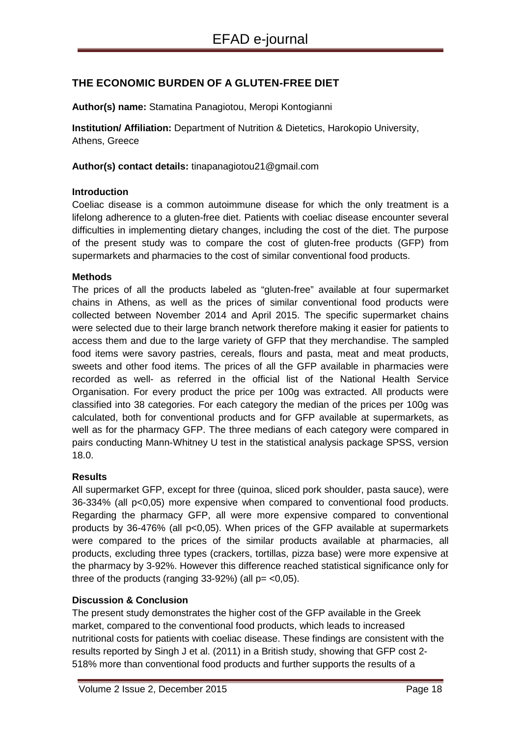# <span id="page-16-0"></span>**THE ECONOMIC BURDEN OF A GLUTEN-FREE DIET**

**Author(s) name:** Stamatina Panagiotou, Meropi Kontogianni

**Institution/ Affiliation:** Department of Nutrition & Dietetics, Harokopio University, Athens, Greece

**Author(s) contact details:** tinapanagiotou21@gmail.com

#### **Introduction**

Coeliac disease is a common autoimmune disease for which the only treatment is a lifelong adherence to a gluten-free diet. Patients with coeliac disease encounter several difficulties in implementing dietary changes, including the cost of the diet. The purpose of the present study was to compare the cost of gluten-free products (GFP) from supermarkets and pharmacies to the cost of similar conventional food products.

#### **Methods**

The prices of all the products labeled as "gluten-free" available at four supermarket chains in Athens, as well as the prices of similar conventional food products were collected between November 2014 and April 2015. The specific supermarket chains were selected due to their large branch network therefore making it easier for patients to access them and due to the large variety of GFP that they merchandise. The sampled food items were savory pastries, cereals, flours and pasta, meat and meat products, sweets and other food items. The prices of all the GFP available in pharmacies were recorded as well- as referred in the official list of the National Health Service Organisation. For every product the price per 100g was extracted. All products were classified into 38 categories. For each category the median of the prices per 100g was calculated, both for conventional products and for GFP available at supermarkets, as well as for the pharmacy GFP. The three medians of each category were compared in pairs conducting Mann-Whitney U test in the statistical analysis package SPSS, version 18.0.

#### **Results**

All supermarket GFP, except for three (quinoa, sliced pork shoulder, pasta sauce), were 36-334% (all p<0,05) more expensive when compared to conventional food products. Regarding the pharmacy GFP, all were more expensive compared to conventional products by 36-476% (all p<0,05). When prices of the GFP available at supermarkets were compared to the prices of the similar products available at pharmacies, all products, excluding three types (crackers, tortillas, pizza base) were more expensive at the pharmacy by 3-92%. However this difference reached statistical significance only for three of the products (ranging  $33-92%$ ) (all  $p = <0.05$ ).

#### **Discussion & Conclusion**

The present study demonstrates the higher cost of the GFP available in the Greek market, compared to the conventional food products, which leads to increased nutritional costs for patients with coeliac disease. These findings are consistent with the results reported by Singh J et al. (2011) in a British study, showing that GFP cost 2- 518% more than conventional food products and further supports the results of a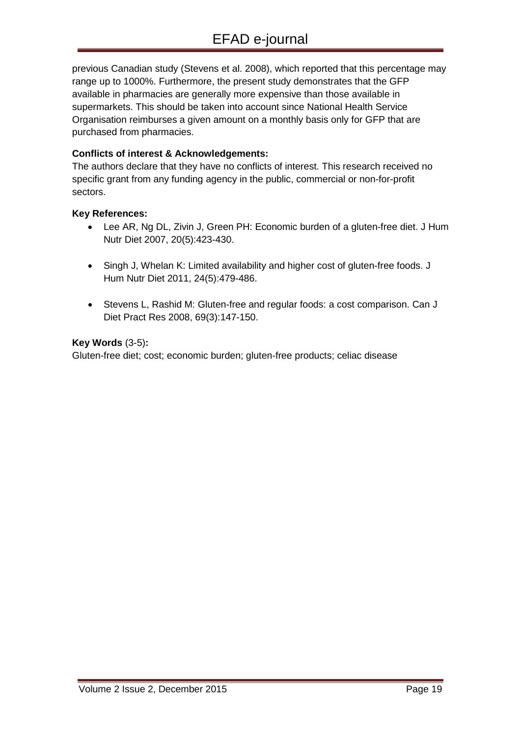previous Canadian study (Stevens et al. 2008), which reported that this percentage may range up to 1000%. Furthermore, the present study demonstrates that the GFP available in pharmacies are generally more expensive than those available in supermarkets. This should be taken into account since National Health Service Organisation reimburses a given amount on a monthly basis only for GFP that are purchased from pharmacies.

### **Conflicts of interest & Acknowledgements:**

The authors declare that they have no conflicts of interest. This research received no specific grant from any funding agency in the public, commercial or non-for-profit sectors.

#### **Key References:**

- Lee AR, Ng DL, Zivin J, Green PH: Economic burden of a gluten-free diet. J Hum Nutr Diet 2007, 20(5):423-430.
- Singh J, Whelan K: Limited availability and higher cost of gluten-free foods. J Hum Nutr Diet 2011, 24(5):479-486.
- Stevens L, Rashid M: Gluten-free and regular foods: a cost comparison. Can J Diet Pract Res 2008, 69(3):147-150.

#### **Key Words** (3-5)**:**

Gluten-free diet; cost; economic burden; gluten-free products; celiac disease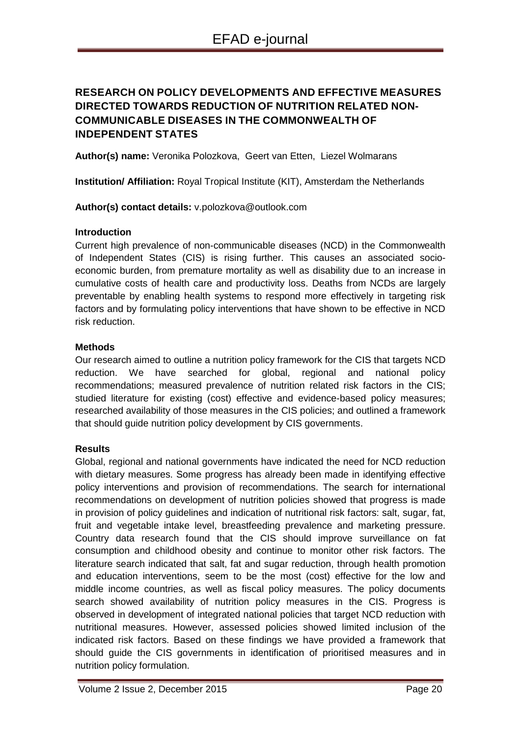# <span id="page-18-0"></span>**RESEARCH ON POLICY DEVELOPMENTS AND EFFECTIVE MEASURES DIRECTED TOWARDS REDUCTION OF NUTRITION RELATED NON-COMMUNICABLE DISEASES IN THE COMMONWEALTH OF INDEPENDENT STATES**

**Author(s) name:** Veronika Polozkova, Geert van Etten, Liezel Wolmarans

**Institution/ Affiliation:** Royal Tropical Institute (KIT), Amsterdam the Netherlands

#### **Author(s) contact details:** v.polozkova@outlook.com

#### **Introduction**

Current high prevalence of non-communicable diseases (NCD) in the Commonwealth of Independent States (CIS) is rising further. This causes an associated socioeconomic burden, from premature mortality as well as disability due to an increase in cumulative costs of health care and productivity loss. Deaths from NCDs are largely preventable by enabling health systems to respond more effectively in targeting risk factors and by formulating policy interventions that have shown to be effective in NCD risk reduction.

#### **Methods**

Our research aimed to outline a nutrition policy framework for the CIS that targets NCD reduction. We have searched for global, regional and national policy recommendations; measured prevalence of nutrition related risk factors in the CIS; studied literature for existing (cost) effective and evidence-based policy measures; researched availability of those measures in the CIS policies; and outlined a framework that should guide nutrition policy development by CIS governments.

#### **Results**

Global, regional and national governments have indicated the need for NCD reduction with dietary measures. Some progress has already been made in identifying effective policy interventions and provision of recommendations. The search for international recommendations on development of nutrition policies showed that progress is made in provision of policy guidelines and indication of nutritional risk factors: salt, sugar, fat, fruit and vegetable intake level, breastfeeding prevalence and marketing pressure. Country data research found that the CIS should improve surveillance on fat consumption and childhood obesity and continue to monitor other risk factors. The literature search indicated that salt, fat and sugar reduction, through health promotion and education interventions, seem to be the most (cost) effective for the low and middle income countries, as well as fiscal policy measures. The policy documents search showed availability of nutrition policy measures in the CIS. Progress is observed in development of integrated national policies that target NCD reduction with nutritional measures. However, assessed policies showed limited inclusion of the indicated risk factors. Based on these findings we have provided a framework that should guide the CIS governments in identification of prioritised measures and in nutrition policy formulation.